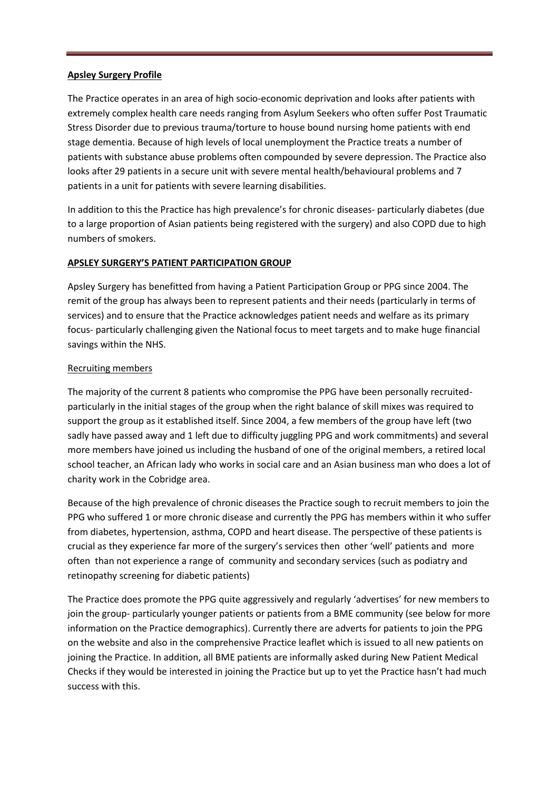### **Apsley Surgery Profile**

The Practice operates in an area of high socio-economic deprivation and looks after patients with extremely complex health care needs ranging from Asylum Seekers who often suffer Post Traumatic Stress Disorder due to previous trauma/torture to house bound nursing home patients with end stage dementia. Because of high levels of local unemployment the Practice treats a number of patients with substance abuse problems often compounded by severe depression. The Practice also looks after 29 patients in a secure unit with severe mental health/behavioural problems and 7 patients in a unit for patients with severe learning disabilities.

In addition to this the Practice has high prevalence's for chronic diseases- particularly diabetes (due to a large proportion of Asian patients being registered with the surgery) and also COPD due to high numbers of smokers.

# **APSLEY SURGERY'S PATIENT PARTICIPATION GROUP**

Apsley Surgery has benefitted from having a Patient Participation Group or PPG since 2004. The remit of the group has always been to represent patients and their needs (particularly in terms of services) and to ensure that the Practice acknowledges patient needs and welfare as its primary focus- particularly challenging given the National focus to meet targets and to make huge financial savings within the NHS.

## Recruiting members

The majority of the current 8 patients who compromise the PPG have been personally recruitedparticularly in the initial stages of the group when the right balance of skill mixes was required to support the group as it established itself. Since 2004, a few members of the group have left (two sadly have passed away and 1 left due to difficulty juggling PPG and work commitments) and several more members have joined us including the husband of one of the original members, a retired local school teacher, an African lady who works in social care and an Asian business man who does a lot of charity work in the Cobridge area.

Because of the high prevalence of chronic diseases the Practice sough to recruit members to join the PPG who suffered 1 or more chronic disease and currently the PPG has members within it who suffer from diabetes, hypertension, asthma, COPD and heart disease. The perspective of these patients is crucial as they experience far more of the surgery's services then other 'well' patients and more often than not experience a range of community and secondary services (such as podiatry and retinopathy screening for diabetic patients)

The Practice does promote the PPG quite aggressively and regularly 'advertises' for new members to join the group- particularly younger patients or patients from a BME community (see below for more information on the Practice demographics). Currently there are adverts for patients to join the PPG on the website and also in the comprehensive Practice leaflet which is issued to all new patients on joining the Practice. In addition, all BME patients are informally asked during New Patient Medical Checks if they would be interested in joining the Practice but up to yet the Practice hasn't had much success with this.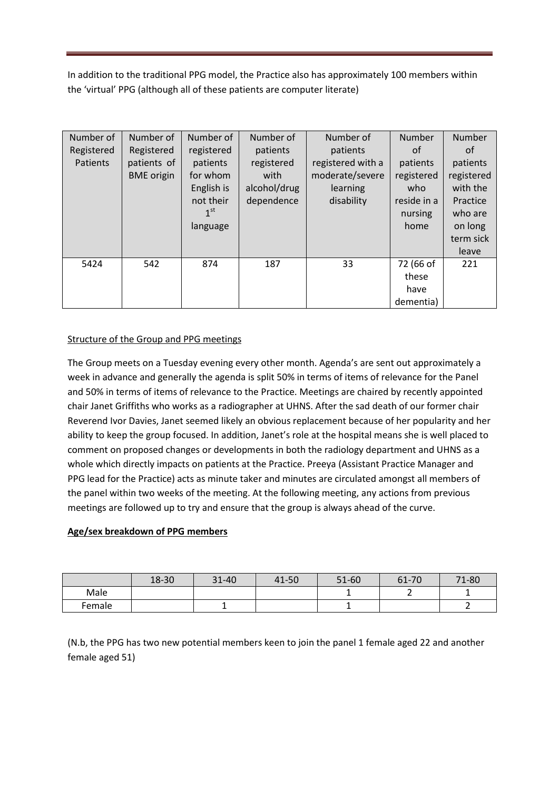In addition to the traditional PPG model, the Practice also has approximately 100 members within the 'virtual' PPG (although all of these patients are computer literate)

| Number of  | Number of         | Number of       | Number of    | Number of         | Number      | Number     |
|------------|-------------------|-----------------|--------------|-------------------|-------------|------------|
| Registered | Registered        | registered      | patients     | patients          | of          | 0f         |
| Patients   | patients of       | patients        | registered   | registered with a | patients    | patients   |
|            | <b>BME</b> origin | for whom        | with         | moderate/severe   | registered  | registered |
|            |                   | English is      | alcohol/drug | learning          | who         | with the   |
|            |                   | not their       | dependence   | disability        | reside in a | Practice   |
|            |                   | 1 <sup>st</sup> |              |                   | nursing     | who are    |
|            |                   | language        |              |                   | home        | on long    |
|            |                   |                 |              |                   |             | term sick  |
|            |                   |                 |              |                   |             | leave      |
| 5424       | 542               | 874             | 187          | 33                | 72 (66 of   | 221        |
|            |                   |                 |              |                   | these       |            |
|            |                   |                 |              |                   | have        |            |
|            |                   |                 |              |                   | dementia)   |            |

# Structure of the Group and PPG meetings

The Group meets on a Tuesday evening every other month. Agenda's are sent out approximately a week in advance and generally the agenda is split 50% in terms of items of relevance for the Panel and 50% in terms of items of relevance to the Practice. Meetings are chaired by recently appointed chair Janet Griffiths who works as a radiographer at UHNS. After the sad death of our former chair Reverend Ivor Davies, Janet seemed likely an obvious replacement because of her popularity and her ability to keep the group focused. In addition, Janet's role at the hospital means she is well placed to comment on proposed changes or developments in both the radiology department and UHNS as a whole which directly impacts on patients at the Practice. Preeya (Assistant Practice Manager and PPG lead for the Practice) acts as minute taker and minutes are circulated amongst all members of the panel within two weeks of the meeting. At the following meeting, any actions from previous meetings are followed up to try and ensure that the group is always ahead of the curve.

# **Age/sex breakdown of PPG members**

|        | 18-30 | 31-40 | 41-50 | 51-60 | 61-70 | 71-80 |
|--------|-------|-------|-------|-------|-------|-------|
| Male   |       |       |       |       |       |       |
| Female |       |       |       |       |       |       |

(N.b, the PPG has two new potential members keen to join the panel 1 female aged 22 and another female aged 51)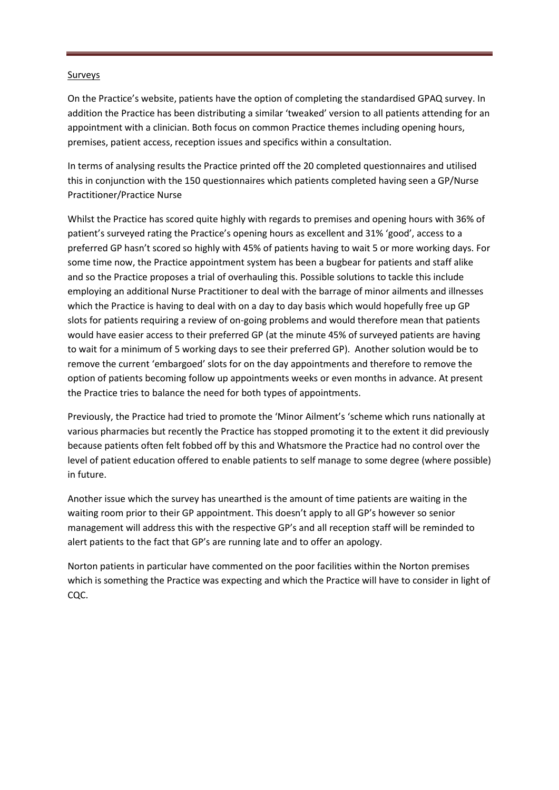### **Surveys**

On the Practice's website, patients have the option of completing the standardised GPAQ survey. In addition the Practice has been distributing a similar 'tweaked' version to all patients attending for an appointment with a clinician. Both focus on common Practice themes including opening hours, premises, patient access, reception issues and specifics within a consultation.

In terms of analysing results the Practice printed off the 20 completed questionnaires and utilised this in conjunction with the 150 questionnaires which patients completed having seen a GP/Nurse Practitioner/Practice Nurse

Whilst the Practice has scored quite highly with regards to premises and opening hours with 36% of patient's surveyed rating the Practice's opening hours as excellent and 31% 'good', access to a preferred GP hasn't scored so highly with 45% of patients having to wait 5 or more working days. For some time now, the Practice appointment system has been a bugbear for patients and staff alike and so the Practice proposes a trial of overhauling this. Possible solutions to tackle this include employing an additional Nurse Practitioner to deal with the barrage of minor ailments and illnesses which the Practice is having to deal with on a day to day basis which would hopefully free up GP slots for patients requiring a review of on-going problems and would therefore mean that patients would have easier access to their preferred GP (at the minute 45% of surveyed patients are having to wait for a minimum of 5 working days to see their preferred GP). Another solution would be to remove the current 'embargoed' slots for on the day appointments and therefore to remove the option of patients becoming follow up appointments weeks or even months in advance. At present the Practice tries to balance the need for both types of appointments.

Previously, the Practice had tried to promote the 'Minor Ailment's 'scheme which runs nationally at various pharmacies but recently the Practice has stopped promoting it to the extent it did previously because patients often felt fobbed off by this and Whatsmore the Practice had no control over the level of patient education offered to enable patients to self manage to some degree (where possible) in future.

Another issue which the survey has unearthed is the amount of time patients are waiting in the waiting room prior to their GP appointment. This doesn't apply to all GP's however so senior management will address this with the respective GP's and all reception staff will be reminded to alert patients to the fact that GP's are running late and to offer an apology.

Norton patients in particular have commented on the poor facilities within the Norton premises which is something the Practice was expecting and which the Practice will have to consider in light of CQC.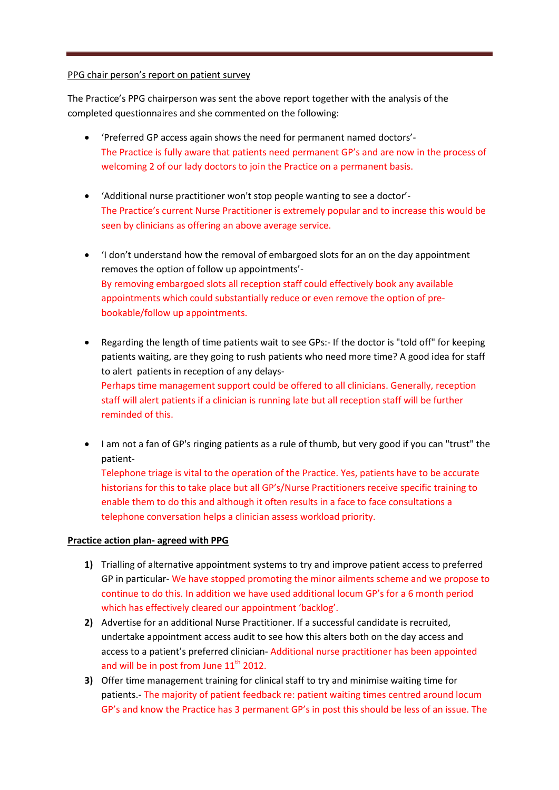#### PPG chair person's report on patient survey

The Practice's PPG chairperson was sent the above report together with the analysis of the completed questionnaires and she commented on the following:

- 'Preferred GP access again shows the need for permanent named doctors'- The Practice is fully aware that patients need permanent GP's and are now in the process of welcoming 2 of our lady doctors to join the Practice on a permanent basis.
- 'Additional nurse practitioner won't stop people wanting to see a doctor'- The Practice's current Nurse Practitioner is extremely popular and to increase this would be seen by clinicians as offering an above average service.
- 'I don't understand how the removal of embargoed slots for an on the day appointment removes the option of follow up appointments'- By removing embargoed slots all reception staff could effectively book any available appointments which could substantially reduce or even remove the option of prebookable/follow up appointments.
- Regarding the length of time patients wait to see GPs:- If the doctor is "told off" for keeping patients waiting, are they going to rush patients who need more time? A good idea for staff to alert patients in reception of any delays-Perhaps time management support could be offered to all clinicians. Generally, reception staff will alert patients if a clinician is running late but all reception staff will be further reminded of this.
- I am not a fan of GP's ringing patients as a rule of thumb, but very good if you can "trust" the patient-

Telephone triage is vital to the operation of the Practice. Yes, patients have to be accurate historians for this to take place but all GP's/Nurse Practitioners receive specific training to enable them to do this and although it often results in a face to face consultations a telephone conversation helps a clinician assess workload priority.

### **Practice action plan- agreed with PPG**

- **1)** Trialling of alternative appointment systems to try and improve patient access to preferred GP in particular- We have stopped promoting the minor ailments scheme and we propose to continue to do this. In addition we have used additional locum GP's for a 6 month period which has effectively cleared our appointment 'backlog'.
- **2)** Advertise for an additional Nurse Practitioner. If a successful candidate is recruited, undertake appointment access audit to see how this alters both on the day access and access to a patient's preferred clinician- Additional nurse practitioner has been appointed and will be in post from June  $11<sup>th</sup>$  2012.
- **3)** Offer time management training for clinical staff to try and minimise waiting time for patients.- The majority of patient feedback re: patient waiting times centred around locum GP's and know the Practice has 3 permanent GP's in post this should be less of an issue. The